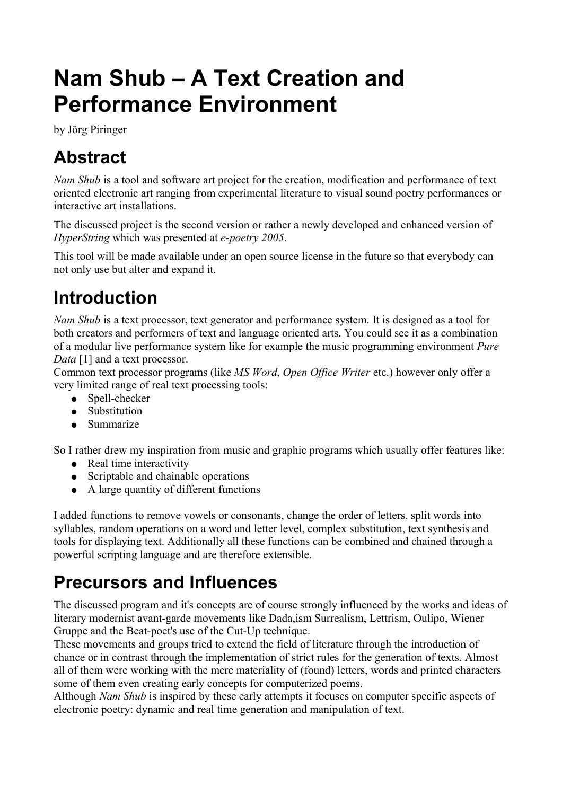# **Nam Shub – A Text Creation and Performance Environment**

by Jörg Piringer

## **Abstract**

*Nam Shub* is a tool and software art project for the creation, modification and performance of text oriented electronic art ranging from experimental literature to visual sound poetry performances or interactive art installations.

The discussed project is the second version or rather a newly developed and enhanced version of *HyperString* which was presented at *e-poetry 2005*.

This tool will be made available under an open source license in the future so that everybody can not only use but alter and expand it.

## **Introduction**

*Nam Shub* is a text processor, text generator and performance system. It is designed as a tool for both creators and performers of text and language oriented arts. You could see it as a combination of a modular live performance system like for example the music programming environment *Pure Data* [1] and a text processor.

Common text processor programs (like *MS Word*, *Open Office Writer* etc.) however only offer a very limited range of real text processing tools:

- Spell-checker
- Substitution
- Summarize

So I rather drew my inspiration from music and graphic programs which usually offer features like:

- Real time interactivity
- Scriptable and chainable operations
- A large quantity of different functions

I added functions to remove vowels or consonants, change the order of letters, split words into syllables, random operations on a word and letter level, complex substitution, text synthesis and tools for displaying text. Additionally all these functions can be combined and chained through a powerful scripting language and are therefore extensible.

### **Precursors and Influences**

The discussed program and it's concepts are of course strongly influenced by the works and ideas of literary modernist avant-garde movements like Dada,ism Surrealism, Lettrism, Oulipo, Wiener Gruppe and the Beat-poet's use of the Cut-Up technique.

These movements and groups tried to extend the field of literature through the introduction of chance or in contrast through the implementation of strict rules for the generation of texts. Almost all of them were working with the mere materiality of (found) letters, words and printed characters some of them even creating early concepts for computerized poems.

Although *Nam Shub* is inspired by these early attempts it focuses on computer specific aspects of electronic poetry: dynamic and real time generation and manipulation of text.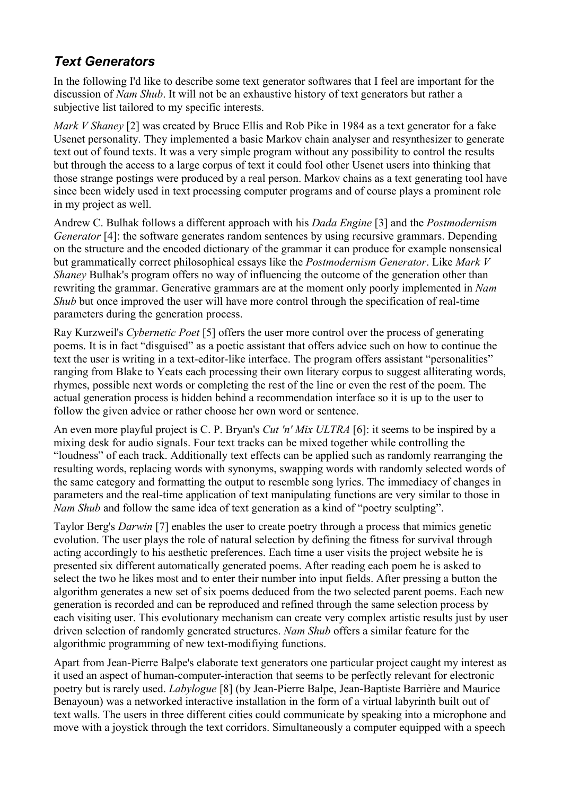### *Text Generators*

In the following I'd like to describe some text generator softwares that I feel are important for the discussion of *Nam Shub*. It will not be an exhaustive history of text generators but rather a subjective list tailored to my specific interests.

*Mark V Shaney* [2] was created by Bruce Ellis and Rob Pike in 1984 as a text generator for a fake Usenet personality. They implemented a basic Markov chain analyser and resynthesizer to generate text out of found texts. It was a very simple program without any possibility to control the results but through the access to a large corpus of text it could fool other Usenet users into thinking that those strange postings were produced by a real person. Markov chains as a text generating tool have since been widely used in text processing computer programs and of course plays a prominent role in my project as well.

Andrew C. Bulhak follows a different approach with his *Dada Engine* [3] and the *Postmodernism Generator* [4]: the software generates random sentences by using recursive grammars. Depending on the structure and the encoded dictionary of the grammar it can produce for example nonsensical but grammatically correct philosophical essays like the *Postmodernism Generator*. Like *Mark V Shaney* Bulhak's program offers no way of influencing the outcome of the generation other than rewriting the grammar. Generative grammars are at the moment only poorly implemented in *Nam Shub* but once improved the user will have more control through the specification of real-time parameters during the generation process.

Ray Kurzweil's *Cybernetic Poet* [5] offers the user more control over the process of generating poems. It is in fact "disguised" as a poetic assistant that offers advice such on how to continue the text the user is writing in a text-editor-like interface. The program offers assistant "personalities" ranging from Blake to Yeats each processing their own literary corpus to suggest alliterating words, rhymes, possible next words or completing the rest of the line or even the rest of the poem. The actual generation process is hidden behind a recommendation interface so it is up to the user to follow the given advice or rather choose her own word or sentence.

An even more playful project is C. P. Bryan's *Cut 'n' Mix ULTRA* [6]: it seems to be inspired by a mixing desk for audio signals. Four text tracks can be mixed together while controlling the "loudness" of each track. Additionally text effects can be applied such as randomly rearranging the resulting words, replacing words with synonyms, swapping words with randomly selected words of the same category and formatting the output to resemble song lyrics. The immediacy of changes in parameters and the real-time application of text manipulating functions are very similar to those in *Nam Shub* and follow the same idea of text generation as a kind of "poetry sculpting".

Taylor Berg's *Darwin* [7] enables the user to create poetry through a process that mimics genetic evolution. The user plays the role of natural selection by defining the fitness for survival through acting accordingly to his aesthetic preferences. Each time a user visits the project website he is presented six different automatically generated poems. After reading each poem he is asked to select the two he likes most and to enter their number into input fields. After pressing a button the algorithm generates a new set of six poems deduced from the two selected parent poems. Each new generation is recorded and can be reproduced and refined through the same selection process by each visiting user. This evolutionary mechanism can create very complex artistic results just by user driven selection of randomly generated structures. *Nam Shub* offers a similar feature for the algorithmic programming of new text-modifiying functions.

Apart from Jean-Pierre Balpe's elaborate text generators one particular project caught my interest as it used an aspect of human-computer-interaction that seems to be perfectly relevant for electronic poetry but is rarely used. *Labylogue* [8] (by Jean-Pierre Balpe, Jean-Baptiste Barrière and Maurice Benayoun) was a networked interactive installation in the form of a virtual labyrinth built out of text walls. The users in three different cities could communicate by speaking into a microphone and move with a joystick through the text corridors. Simultaneously a computer equipped with a speech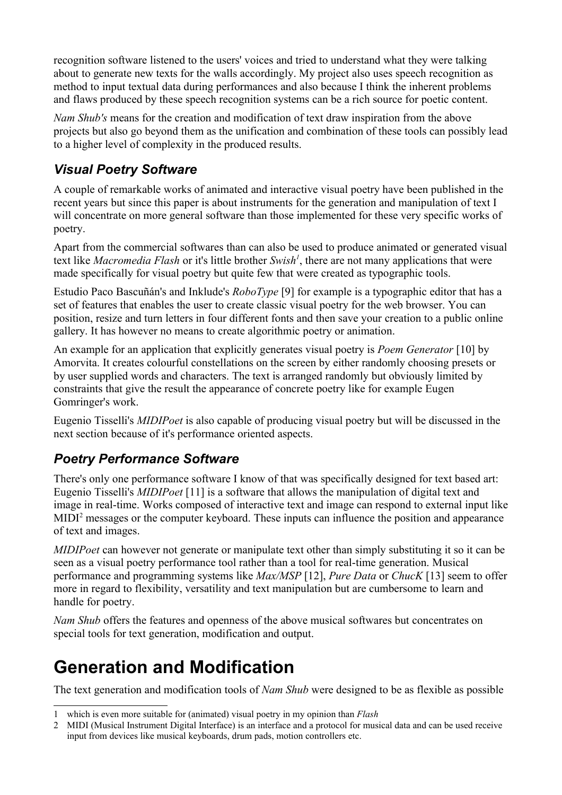recognition software listened to the users' voices and tried to understand what they were talking about to generate new texts for the walls accordingly. My project also uses speech recognition as method to input textual data during performances and also because I think the inherent problems and flaws produced by these speech recognition systems can be a rich source for poetic content.

*Nam Shub's* means for the creation and modification of text draw inspiration from the above projects but also go beyond them as the unification and combination of these tools can possibly lead to a higher level of complexity in the produced results.

### *Visual Poetry Software*

A couple of remarkable works of animated and interactive visual poetry have been published in the recent years but since this paper is about instruments for the generation and manipulation of text I will concentrate on more general software than those implemented for these very specific works of poetry.

Apart from the commercial softwares than can also be used to produce animated or generated visual text like *Macromedia Flash* or it's little brother *Swish[1](#page-2-0)* , there are not many applications that were made specifically for visual poetry but quite few that were created as typographic tools.

Estudio Paco Bascuñán's and Inklude's *RoboType* [9] for example is a typographic editor that has a set of features that enables the user to create classic visual poetry for the web browser. You can position, resize and turn letters in four different fonts and then save your creation to a public online gallery. It has however no means to create algorithmic poetry or animation.

An example for an application that explicitly generates visual poetry is *Poem Generator* [10] by Amorvita. It creates colourful constellations on the screen by either randomly choosing presets or by user supplied words and characters. The text is arranged randomly but obviously limited by constraints that give the result the appearance of concrete poetry like for example Eugen Gomringer's work.

Eugenio Tisselli's *MIDIPoet* is also capable of producing visual poetry but will be discussed in the next section because of it's performance oriented aspects.

### *Poetry Performance Software*

There's only one performance software I know of that was specifically designed for text based art: Eugenio Tisselli's *MIDIPoet* [11] is a software that allows the manipulation of digital text and image in real-time. Works composed of interactive text and image can respond to external input like MIDI<sup>[2](#page-2-1)</sup> messages or the computer keyboard. These inputs can influence the position and appearance of text and images.

*MIDIPoet* can however not generate or manipulate text other than simply substituting it so it can be seen as a visual poetry performance tool rather than a tool for real-time generation. Musical performance and programming systems like *Max/MSP* [12], *Pure Data* or *ChucK* [13] seem to offer more in regard to flexibility, versatility and text manipulation but are cumbersome to learn and handle for poetry.

*Nam Shub* offers the features and openness of the above musical softwares but concentrates on special tools for text generation, modification and output.

### **Generation and Modification**

The text generation and modification tools of *Nam Shub* were designed to be as flexible as possible

<span id="page-2-0"></span><sup>1</sup> which is even more suitable for (animated) visual poetry in my opinion than *Flash*

<span id="page-2-1"></span><sup>2</sup> MIDI (Musical Instrument Digital Interface) is an interface and a protocol for musical data and can be used receive input from devices like musical keyboards, drum pads, motion controllers etc.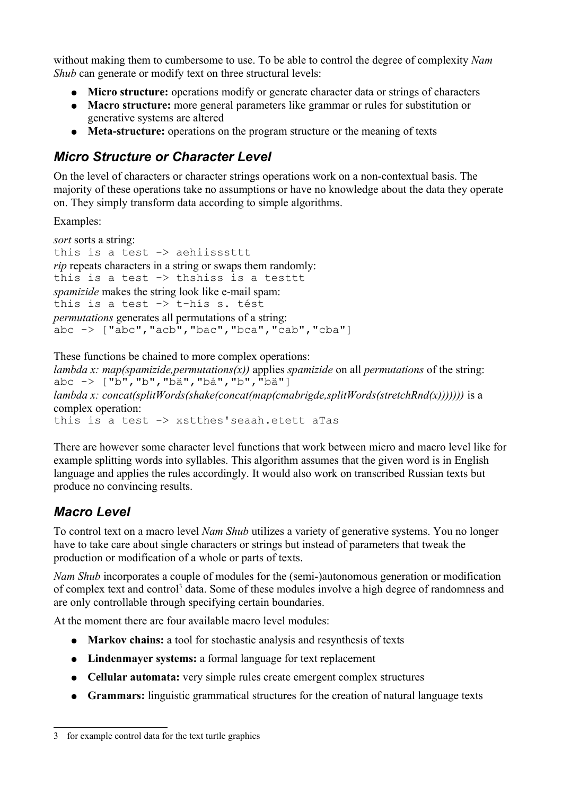without making them to cumbersome to use. To be able to control the degree of complexity *Nam Shub* can generate or modify text on three structural levels:

- **Micro structure:** operations modify or generate character data or strings of characters
- **Macro structure:** more general parameters like grammar or rules for substitution or generative systems are altered
- **Meta-structure:** operations on the program structure or the meaning of texts

### *Micro Structure or Character Level*

On the level of characters or character strings operations work on a non-contextual basis. The majority of these operations take no assumptions or have no knowledge about the data they operate on. They simply transform data according to simple algorithms.

Examples:

```
sort sorts a string: 
this is a test -> aehiisssttt
rip repeats characters in a string or swaps them randomly:
this is a test \rightarrow thshiss is a testtt
spamizide makes the string look like e-mail spam:
this is a test -> t-hís s. tést
permutations generates all permutations of a string:
abc \rightarrow ["abc", "acb", "bac", "bca", "cab", "cba"]
```

```
These functions be chained to more complex operations:
lambda x: map(spamizide,permutations(x)) applies spamizide on all permutations of the string:
abc \rightarrow ["b", "b", "bä", "bá", "b", "bä"]
lambda x: concat(splitWords(shake(concat(map(cmabrigde,splitWords(stretchRnd(x))))))) is a
complex operation:
this is a test -> xstthes'seaah.etett aTas
```
There are however some character level functions that work between micro and macro level like for example splitting words into syllables. This algorithm assumes that the given word is in English language and applies the rules accordingly. It would also work on transcribed Russian texts but produce no convincing results.

### *Macro Level*

To control text on a macro level *Nam Shub* utilizes a variety of generative systems. You no longer have to take care about single characters or strings but instead of parameters that tweak the production or modification of a whole or parts of texts.

*Nam Shub* incorporates a couple of modules for the (semi-)autonomous generation or modification of complex text and control<sup>[3](#page-3-0)</sup> data. Some of these modules involve a high degree of randomness and are only controllable through specifying certain boundaries.

At the moment there are four available macro level modules:

- **Markov chains:** a tool for stochastic analysis and resynthesis of texts
- **Lindenmayer systems:** a formal language for text replacement
- **Cellular automata:** very simple rules create emergent complex structures
- **Grammars:** linguistic grammatical structures for the creation of natural language texts

<span id="page-3-0"></span><sup>3</sup> for example control data for the text turtle graphics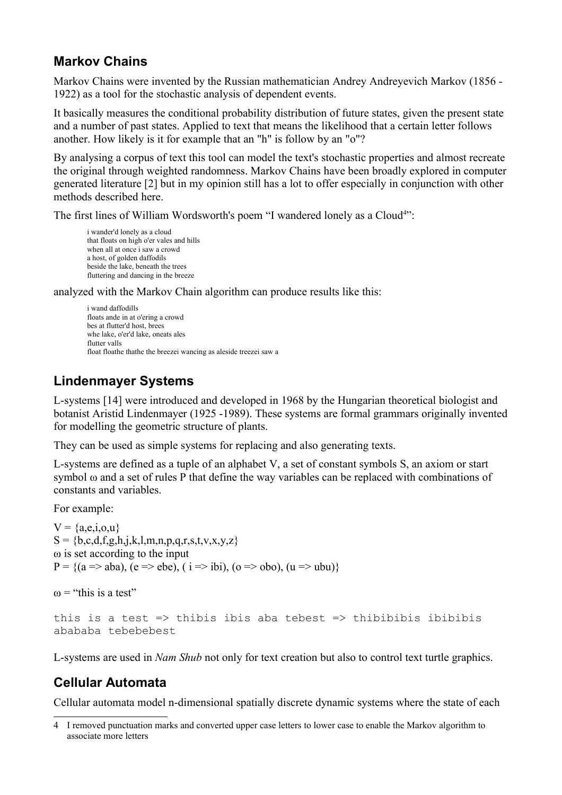### **Markov Chains**

Markov Chains were invented by the Russian mathematician Andrey Andreyevich Markov (1856 - 1922) as a tool for the stochastic analysis of dependent events.

It basically measures the conditional probability distribution of future states, given the present state and a number of past states. Applied to text that means the likelihood that a certain letter follows another. How likely is it for example that an "h" is follow by an "o"?

By analysing a corpus of text this tool can model the text's stochastic properties and almost recreate the original through weighted randomness. Markov Chains have been broadly explored in computer generated literature [2] but in my opinion still has a lot to offer especially in conjunction with other methods described here.

The first lines of William Wordsworth's poem "I wandered lonely as a Cloud<sup>[4](#page-4-0)</sup>":

i wander'd lonely as a cloud that floats on high o'er vales and hills when all at once i saw a crowd a host, of golden daffodils beside the lake, beneath the trees fluttering and dancing in the breeze

analyzed with the Markov Chain algorithm can produce results like this:

i wand daffodills floats ande in at o'ering a crowd bes at flutter'd host, brees whe lake, o'er'd lake, oneats ales flutter valls float floathe thathe the breezei wancing as aleside treezei saw a

### **Lindenmayer Systems**

L-systems [14] were introduced and developed in 1968 by the Hungarian theoretical biologist and botanist Aristid Lindenmayer (1925 -1989). These systems are formal grammars originally invented for modelling the geometric structure of plants.

They can be used as simple systems for replacing and also generating texts.

L-systems are defined as a tuple of an alphabet V, a set of constant symbols S, an axiom or start symbol ω and a set of rules P that define the way variables can be replaced with combinations of constants and variables.

For example:

```
V = \{a,e,i,o,u\}S = \{b, c, d, f, g, h, j, k, l, m, n, p, q, r, s, t, v, x, y, z\}ω is set according to the input
P = \{(a \Rightarrow aba), (e \Rightarrow ebe), (i \Rightarrow ibi), (o \Rightarrow obo), (u \Rightarrow ubu)\}
```
 $\omega$  = "this is a test"

```
this is a test => thibis ibis aba tebest => thibibibis ibibibis
abababa tebebebest
```
L-systems are used in *Nam Shub* not only for text creation but also to control text turtle graphics.

### **Cellular Automata**

Cellular automata model n-dimensional spatially discrete dynamic systems where the state of each

<span id="page-4-0"></span><sup>4</sup> I removed punctuation marks and converted upper case letters to lower case to enable the Markov algorithm to associate more letters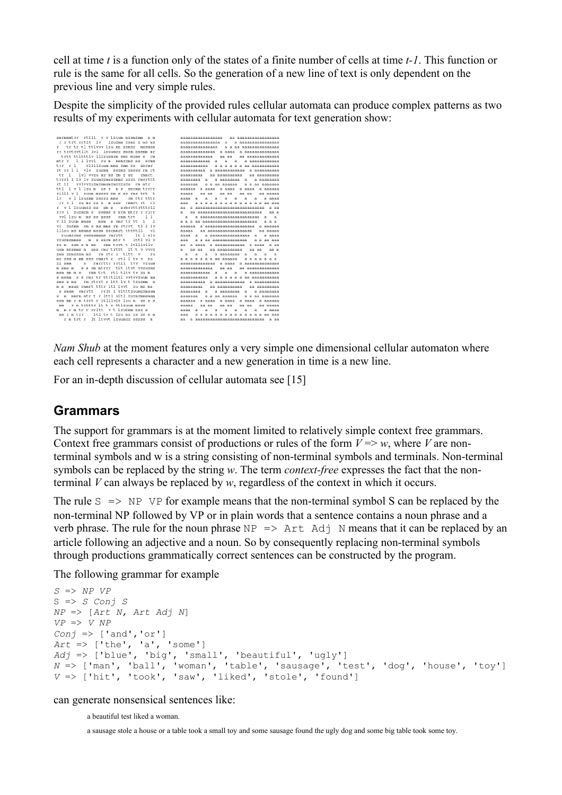cell at time *t* is a function only of the states of a finite number of cells at time *t-1*. This function or rule is the same for all cells. So the generation of a new line of text is only dependent on the previous line and very simple rules.

Despite the simplicity of the provided rules cellular automata can produce complex patterns as two results of my experiments with cellular automata for text generation show:

| smrmmmtrr rtlll v v lzuum mzsmzmm s m                    | аааааааааааааааа аа аааааааааааааааа                                   |
|----------------------------------------------------------|------------------------------------------------------------------------|
| rrtrt rrtlt lv lzuzmm zsmz z ms ms                       | аааааааааааааааа а<br>а аааааааааааааааа                               |
| r tr tr tl ttlvvv lzu mz zsmzz mssmss                    | а а аа аааааааааааааа<br>ааааааааааааааа                               |
| rr trrtrrtllt lvl 1zuumzz smzm zmsmm mr                  |                                                                        |
| trtt ttltttlv lllzuzmzm smz mzms s rm                    | aa aa<br>ааааааааааааа<br>aa aaaaaaaaaaaa                              |
| mtr r lllvvl zum msmzzmz ss srmm                         | аааааааааааа а<br>a<br>a.<br>а азаазазазаза                            |
| trr r 1 vllllzuum mms zmm zs<br><b>SSIMI</b>             | aaaaaaaaaa<br>а а а а а а аа аааааааааа                                |
| rt rr 1 1 vlv zuzmm sszmz zssss rm rt                    |                                                                        |
| tr 1 lvl vvzu mz ms zm z sz<br>rmmrt                     | aa aaaaaaaaaa<br>aa aaaaaaaaa<br>ааааааааа                             |
| trrrl 1 lv lv zuumzzmsszmmz szzz rmrrttt                 | a aaaaaaaa a aaaaaaaaa<br>aaaaaaaa a                                   |
| rt 11 vvlvvzuzmzmmsmzmzzzszs rm mtr                      | ааааааа<br>a a aa aaaaaa<br>a a aa aaaaaaa                             |
| ttl 1 v 1 1zu m zs z m s ssrmm trrrr                     | aaaaaa a aaaa a aaaa a aaaa a aaaaaa                                   |
| rllll v 1 zuum mzssz zm s ss rmr trt t                   | aaaaa<br>aa aa<br>aa aa<br>aa aa<br>aa aaaas                           |
| l r<br>v 1 1zuzmm zszzz mms<br>rm rtr tttr               | $a -$<br>$A \cap A$<br>$\mathbf{a}$<br>$a \quad a$<br>aaaa a<br>a aaas |
| rr v 1 zu mz zs s m sss rmmrt rt rl                      | aaa<br>а а а а а а а а а а а а а аа аа                                 |
| r v 1 lzuumzz ss sm s<br>smrrttrtttrll                   | aa a aaaaaaaaaaaaaaaaaaaaaaaaaaaaa a aa                                |
| rry 1 zuzmzm s ssmms s srm mtrr r rlrr                   | $\mathbf{a}$<br>aa aaaaaaaaaaaaaaaaaaaaaaaaa<br>aa a                   |
| 1 <sup>1</sup><br>vvl lzu m ms ss msss<br>rmm trt        | $\mathbf{a}$<br>a aaaaaaaaaaaaaaaaaaaaaaa a a                          |
| v 11 zuum mmss<br>$1\quad$<br>msm s mmr tr tt            | a a a<br>a a a aa aaaaaaaaaaaaaaaaaaaaa                                |
| vl<br>zuzmm sm s ms mms rm rtrrt tl l lv                 | aaaaaa a aaaaaaaaaaaaaaaaaaaa a aaaaaa                                 |
| lllzu mz msmms mssm ssrmmrt tttttll<br>v1                | aaaaa aa aaaaaaaaaaaaaaaaaa aa aaaaa                                   |
| lt l vlv<br>Zuumzzms sssmsmmms rmrrtt                    | aaaa<br>a.<br>а азазазазазазазаза а<br>a aaas                          |
| m s ssrm mtr t 1ttl vl v<br>vzuzmzmmss                   | aaa<br>a a aa aaaaaaaaaaaaaa a a aa aas                                |
| rmm trrt t ltlllvllv<br>zum zsm s m ms                   | aa a aaaa a aaaaaaaaaaaa a aaaa<br>a as                                |
| sss rmr trttt lt t v vvvz<br>uum mzsmms m                | a.<br>aa aa<br>aa aaaaaaaaaa<br>aa aa<br>aa a                          |
| rm rtr r tltt v<br>zmm zsmsssm ms<br>zu                  | $\mathbf{a}$<br>a a aaaaaaaa a<br>$\alpha$<br>a<br>- a                 |
| mz zsm m mm sss rmmrt r rtl l tv v zu                    | a a a a a a a aa aaaaaa<br>aaaaaa                                      |
| rmrrttr rrtll tvv vzuum<br>s<br>ZZ Smm                   |                                                                        |
| ss m mtrrr tlt ltvt vvzuzmz<br>m sms m                   | aa aa<br>ааааааааааааа<br>aa aaaaaaaaaaaaa                             |
| msm sm m s - rmm trt -rtl tltv tv zu m                   | ааааааааааа а а<br>a<br>a aaaaaaaaaaaa                                 |
| s s rmr tr ttrtlltl vvtvvzuum mm<br>s msmm               | $a \ a \ a \ a \ a \ a$ as a saasaasaasa<br>ааааааааааа                |
| rm rtrrt r ltt lv t tzuzmm s<br>sms s ms                 |                                                                        |
| msss rmmrt tttr ltl lvvt zu mz ms<br>m s                 | aa aaaaaaaaaa<br>ааааааааа<br>aa aaaaaaaaa                             |
| rmrrtt - rrlt 1 vltttzuumzzmssm<br>$\approx$ sm $\leq$ m | аааааааа а<br>а зазазава а а зазазава                                  |
| mmrm mtr t r lttl vitl zuzmzmmsmmm<br>s m                | ааааааа<br>a a aa aaaaaa<br>a a aa aaaaaas                             |
| ssm mm r m trrt r ltlllvlt lzu m zs s s                  | a aaaa a aaaa a aaaaaa<br>аааааа а аааа                                |
| r m trtttr lt t v ttlzuum mzss<br>mm                     | aaaaa<br>aa aa<br>aa aa<br>aa aa<br>aa aaaaa                           |
| m mrmtrrrrltt vt lzuzmmzsz s                             | a.<br>aaaa<br>a<br>a<br>a<br>a<br>a<br>a<br>a aaas                     |
| mm r m trr ltl tv t lzu mz zs zs s m                     | aaa<br>a a a a a a a a a a a a a aa aas                                |
| r m trt r lt ltvvt lzuumzz sszss m                       | aa a aaaaaaaaaaaaaaaaaaaaaaaaaaaaa a as                                |
|                                                          |                                                                        |

*Nam Shub* at the moment features only a very simple one dimensional cellular automaton where each cell represents a character and a new generation in time is a new line.

For an in-depth discussion of cellular automata see [15]

#### **Grammars**

The support for grammars is at the moment limited to relatively simple context free grammars. Context free grammars consist of productions or rules of the form  $V \Rightarrow w$ , where *V* are nonterminal symbols and w is a string consisting of non-terminal symbols and terminals. Non-terminal symbols can be replaced by the string *w*. The term *context-free* expresses the fact that the nonterminal *V* can always be replaced by *w*, regardless of the context in which it occurs.

The rule  $S \implies NP \nvert VP$  for example means that the non-terminal symbol S can be replaced by the non-terminal NP followed by VP or in plain words that a sentence contains a noun phrase and a verb phrase. The rule for the noun phrase  $NP$  => Art Adj N means that it can be replaced by an article following an adjective and a noun. So by consequently replacing non-terminal symbols through productions grammatically correct sentences can be constructed by the program.

The following grammar for example

```
S => NP VP
S => S Conj S
NP => [Art N, Art Adj N]
VP => V NP
Conj => ['and','or']
Art => ['the', 'a', 'some']
Adj => ['blue', 'big', 'small', 'beautiful', 'ugly']
N => ['man', 'ball', 'woman', 'table', 'sausage', 'test', 'dog', 'house', 'toy']
V => ['hit', 'took', 'saw', 'liked', 'stole', 'found']
```
#### can generate nonsensical sentences like:

a beautiful test liked a woman.

a sausage stole a house or a table took a small toy and some sausage found the ugly dog and some big table took some toy.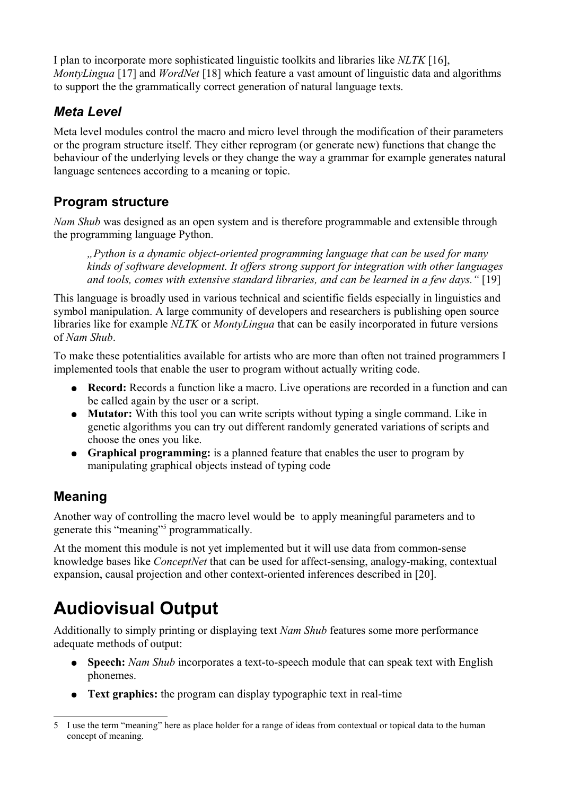I plan to incorporate more sophisticated linguistic toolkits and libraries like *NLTK* [16], *MontyLingua* [17] and *WordNet* [18] which feature a vast amount of linguistic data and algorithms to support the the grammatically correct generation of natural language texts.

### *Meta Level*

Meta level modules control the macro and micro level through the modification of their parameters or the program structure itself. They either reprogram (or generate new) functions that change the behaviour of the underlying levels or they change the way a grammar for example generates natural language sentences according to a meaning or topic.

### **Program structure**

*Nam Shub* was designed as an open system and is therefore programmable and extensible through the programming language Python.

*"Python is a dynamic object-oriented programming language that can be used for many kinds of software development. It offers strong support for integration with other languages and tools, comes with extensive standard libraries, and can be learned in a few days."* [19]

This language is broadly used in various technical and scientific fields especially in linguistics and symbol manipulation. A large community of developers and researchers is publishing open source libraries like for example *NLTK* or *MontyLingua* that can be easily incorporated in future versions of *Nam Shub*.

To make these potentialities available for artists who are more than often not trained programmers I implemented tools that enable the user to program without actually writing code.

- **Record:** Records a function like a macro. Live operations are recorded in a function and can be called again by the user or a script.
- **Mutator:** With this tool you can write scripts without typing a single command. Like in genetic algorithms you can try out different randomly generated variations of scripts and choose the ones you like.
- **Graphical programming:** is a planned feature that enables the user to program by manipulating graphical objects instead of typing code

### **Meaning**

Another way of controlling the macro level would be to apply meaningful parameters and to generate this "meaning"<sup>[5](#page-6-0)</sup> programmatically.

At the moment this module is not yet implemented but it will use data from common-sense knowledge bases like *ConceptNet* that can be used for affect-sensing, analogy-making, contextual expansion, causal projection and other context-oriented inferences described in [20].

## **Audiovisual Output**

Additionally to simply printing or displaying text *Nam Shub* features some more performance adequate methods of output:

- **Speech:** *Nam Shub* incorporates a text-to-speech module that can speak text with English phonemes.
- **Text graphics:** the program can display typographic text in real-time

<span id="page-6-0"></span><sup>5</sup> I use the term "meaning" here as place holder for a range of ideas from contextual or topical data to the human concept of meaning.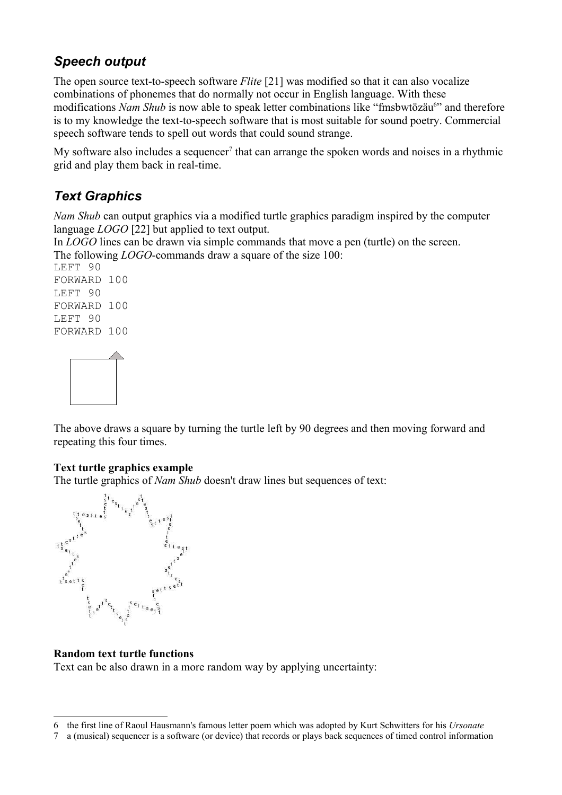### *Speech output*

The open source text-to-speech software *Flite* [21] was modified so that it can also vocalize combinations of phonemes that do normally not occur in English language. With these modifications Nam Shub is now able to speak letter combinations like "fmsbwtözäu<sup>[6](#page-7-0)</sup>" and therefore is to my knowledge the text-to-speech software that is most suitable for sound poetry. Commercial speech software tends to spell out words that could sound strange.

My software also includes a sequencer<sup>[7](#page-7-1)</sup> that can arrange the spoken words and noises in a rhythmic grid and play them back in real-time.

### *Text Graphics*

*Nam Shub* can output graphics via a modified turtle graphics paradigm inspired by the computer language *LOGO* [22] but applied to text output.

In *LOGO* lines can be drawn via simple commands that move a pen (turtle) on the screen. The following *LOGO*-commands draw a square of the size 100:

LEFT 90 FORWARD 100 LEFT 90 FORWARD 100 LEFT 90 FORWARD 100



The above draws a square by turning the turtle left by 90 degrees and then moving forward and repeating this four times.

#### **Text turtle graphics example**

The turtle graphics of *Nam Shub* doesn't draw lines but sequences of text:



#### **Random text turtle functions**

Text can be also drawn in a more random way by applying uncertainty:

<span id="page-7-0"></span><sup>6</sup> the first line of Raoul Hausmann's famous letter poem which was adopted by Kurt Schwitters for his *Ursonate*

<span id="page-7-1"></span><sup>7</sup> a (musical) sequencer is a software (or device) that records or plays back sequences of timed control information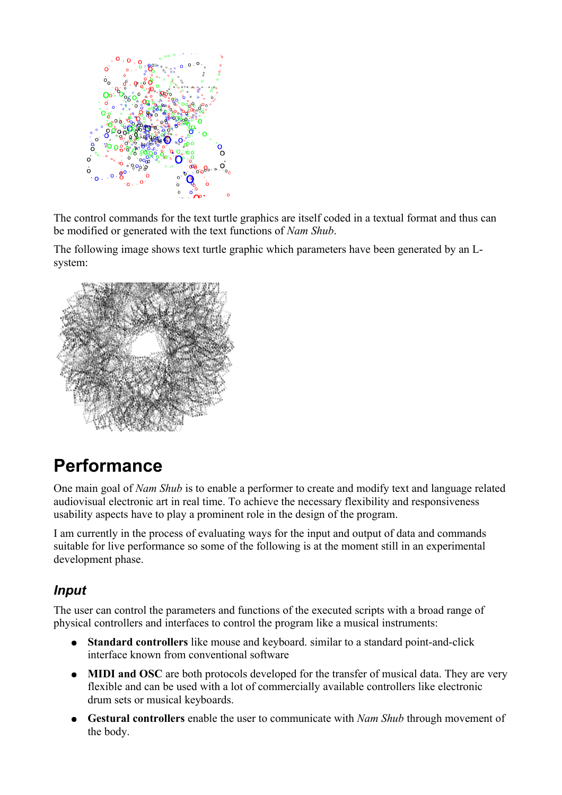

The control commands for the text turtle graphics are itself coded in a textual format and thus can be modified or generated with the text functions of *Nam Shub*.

The following image shows text turtle graphic which parameters have been generated by an Lsystem:



### **Performance**

One main goal of *Nam Shub* is to enable a performer to create and modify text and language related audiovisual electronic art in real time. To achieve the necessary flexibility and responsiveness usability aspects have to play a prominent role in the design of the program.

I am currently in the process of evaluating ways for the input and output of data and commands suitable for live performance so some of the following is at the moment still in an experimental development phase.

### *Input*

The user can control the parameters and functions of the executed scripts with a broad range of physical controllers and interfaces to control the program like a musical instruments:

- **Standard controllers** like mouse and keyboard. similar to a standard point-and-click interface known from conventional software
- **MIDI and OSC** are both protocols developed for the transfer of musical data. They are very flexible and can be used with a lot of commercially available controllers like electronic drum sets or musical keyboards.
- **Gestural controllers** enable the user to communicate with *Nam Shub* through movement of the body.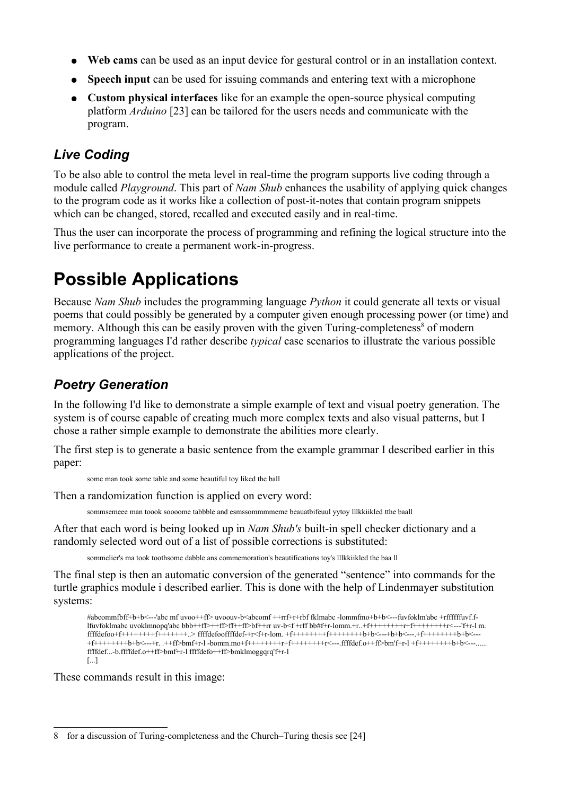- **Web cams** can be used as an input device for gestural control or in an installation context.
- **Speech input** can be used for issuing commands and entering text with a microphone
- **Custom physical interfaces** like for an example the open-source physical computing platform *Arduino* [23] can be tailored for the users needs and communicate with the program.

#### *Live Coding*

To be also able to control the meta level in real-time the program supports live coding through a module called *Playground*. This part of *Nam Shub* enhances the usability of applying quick changes to the program code as it works like a collection of post-it-notes that contain program snippets which can be changed, stored, recalled and executed easily and in real-time.

Thus the user can incorporate the process of programming and refining the logical structure into the live performance to create a permanent work-in-progress.

## **Possible Applications**

Because *Nam Shub* includes the programming language *Python* it could generate all texts or visual poems that could possibly be generated by a computer given enough processing power (or time) and memory. Although this can be easily proven with the given Turing-completeness<sup>[8](#page-9-0)</sup> of modern programming languages I'd rather describe *typical* case scenarios to illustrate the various possible applications of the project.

### *Poetry Generation*

In the following I'd like to demonstrate a simple example of text and visual poetry generation. The system is of course capable of creating much more complex texts and also visual patterns, but I chose a rather simple example to demonstrate the abilities more clearly.

The first step is to generate a basic sentence from the example grammar I described earlier in this paper:

some man took some table and some beautiful toy liked the ball

Then a randomization function is applied on every word:

sommsemeee man toook soooome tabbble and esmssommmmeme beauatbifeuul yytoy lllkkiikled tthe baall

After that each word is being looked up in *Nam Shub's* built-in spell checker dictionary and a randomly selected word out of a list of possible corrections is substituted:

sommelier's ma took toothsome dabble ans commemoration's beautifications toy's lllkkiikled the baa ll

The final step is then an automatic conversion of the generated "sentence" into commands for the turtle graphics module i described earlier. This is done with the help of Lindenmayer substitution systems:

```
#abcommfbff+b+b<---'abc mf uvoo++ff> uvoouv-b<abcomf ++rrf+r+rbf fklmabc -lommfmo+b+b<---fuvfoklm'abc +rffffffuvf.f-
lfuvfoklmabc uvoklmnopq'abc bbb++ff>++ff>ff++ff>bf++rr uv-b<f +rff bb#f+r-lomm.+r..+f++++++++r+f++++++++r<---'f+r-l m.
ffffdefoo+f+++++++f+++++++.>ffffdefooffffdef-f*f+r-lom. +f+++++++f+++++++b+b<---+b+b<---+f++++++++b+b<---+b++f++++++++b+b<---+r. .++ff>bmf+r-l -bomm.mo+f++++++++r+f++++++++r<---.ffffdef.o++ff>bm'f+r-l +f++++++++b+b<---......
ffffdef...-b.ffffdef.o++ff>bmf+r-l ffffdefo++ff>bmklmoggqrq'f+r-l 
[...]
```
These commands result in this image:

<span id="page-9-0"></span><sup>8</sup> for a discussion of Turing-completeness and the Church–Turing thesis see [24]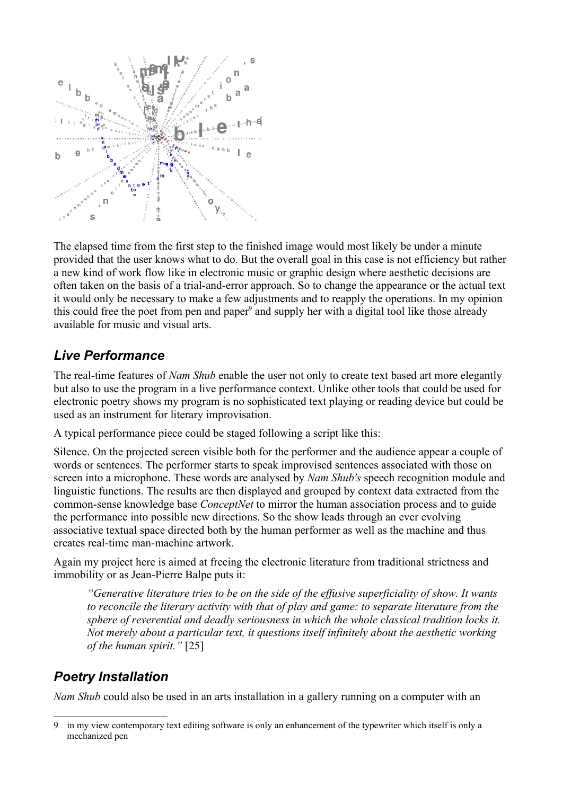

The elapsed time from the first step to the finished image would most likely be under a minute provided that the user knows what to do. But the overall goal in this case is not efficiency but rather a new kind of work flow like in electronic music or graphic design where aesthetic decisions are often taken on the basis of a trial-and-error approach. So to change the appearance or the actual text it would only be necessary to make a few adjustments and to reapply the operations. In my opinion this could free the poet from pen and paper<sup>[9](#page-10-0)</sup> and supply her with a digital tool like those already available for music and visual arts.

#### *Live Performance*

The real-time features of *Nam Shub* enable the user not only to create text based art more elegantly but also to use the program in a live performance context. Unlike other tools that could be used for electronic poetry shows my program is no sophisticated text playing or reading device but could be used as an instrument for literary improvisation.

A typical performance piece could be staged following a script like this:

Silence. On the projected screen visible both for the performer and the audience appear a couple of words or sentences. The performer starts to speak improvised sentences associated with those on screen into a microphone. These words are analysed by *Nam Shub's* speech recognition module and linguistic functions. The results are then displayed and grouped by context data extracted from the common-sense knowledge base *ConceptNet* to mirror the human association process and to guide the performance into possible new directions. So the show leads through an ever evolving associative textual space directed both by the human performer as well as the machine and thus creates real-time man-machine artwork.

Again my project here is aimed at freeing the electronic literature from traditional strictness and immobility or as Jean-Pierre Balpe puts it:

*"Generative literature tries to be on the side of the effusive superficiality of show. It wants to reconcile the literary activity with that of play and game: to separate literature from the sphere of reverential and deadly seriousness in which the whole classical tradition locks it. Not merely about a particular text, it questions itself infinitely about the aesthetic working of the human spirit."* [25]

### *Poetry Installation*

*Nam Shub* could also be used in an arts installation in a gallery running on a computer with an

<span id="page-10-0"></span><sup>9</sup> in my view contemporary text editing software is only an enhancement of the typewriter which itself is only a mechanized pen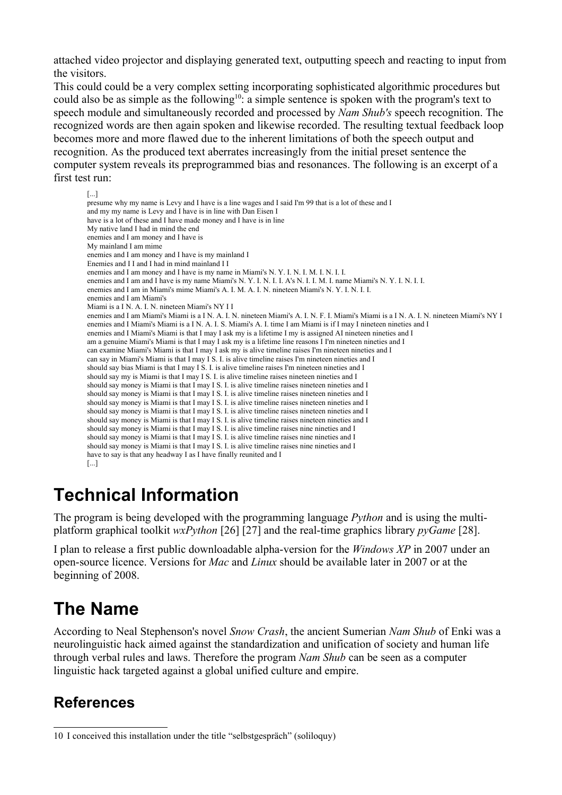attached video projector and displaying generated text, outputting speech and reacting to input from the visitors.

This could could be a very complex setting incorporating sophisticated algorithmic procedures but could also be as simple as the following<sup>[10](#page-11-0)</sup>: a simple sentence is spoken with the program's text to speech module and simultaneously recorded and processed by *Nam Shub's* speech recognition. The recognized words are then again spoken and likewise recorded. The resulting textual feedback loop becomes more and more flawed due to the inherent limitations of both the speech output and recognition. As the produced text aberrates increasingly from the initial preset sentence the computer system reveals its preprogrammed bias and resonances. The following is an excerpt of a first test run:

```
[...]
presume why my name is Levy and I have is a line wages and I said I'm 99 that is a lot of these and I
and my my name is Levy and I have is in line with Dan Eisen I
have is a lot of these and I have made money and I have is in line
My native land I had in mind the end
enemies and I am money and I have is
My mainland I am mime
enemies and I am money and I have is my mainland I
Enemies and I I and I had in mind mainland I I
enemies and I am money and I have is my name in Miami's N. Y. I. N. I. M. I. N. I. I.
enemies and I am and I have is my name Miami's N. Y. I. N. I. I. A's N. I. I. M. I. name Miami's N. Y. I. N. I. I.
enemies and I am in Miami's mime Miami's A. I. M. A. I. N. nineteen Miami's N. Y. I. N. I. I.
enemies and I am Miami's
Miami is a I N. A. I. N. nineteen Miami's NY I I
enemies and I am Miami's Miami is a I N. A. I. N. nineteen Miami's A. I. N. F. I. Miami's Miami is a I N. A. I. N. nineteen Miami's NY I
enemies and I Miami's Miami is a I N. A. I. S. Miami's A. I. time I am Miami is if I may I nineteen nineties and I
enemies and I Miami's Miami is that I may I ask my is a lifetime I my is assigned AI nineteen nineties and I
am a genuine Miami's Miami is that I may I ask my is a lifetime line reasons I I'm nineteen nineties and I
can examine Miami's Miami is that I may I ask my is alive timeline raises I'm nineteen nineties and I
can say in Miami's Miami is that I may I S. I. is alive timeline raises I'm nineteen nineties and I
should say bias Miami is that I may I S. I. is alive timeline raises I'm nineteen nineties and I
should say my is Miami is that I may I S. I. is alive timeline raises nineteen nineties and I
should say money is Miami is that I may I S. I. is alive timeline raises nineteen nineties and I
should say money is Miami is that I may I S. I. is alive timeline raises nineteen nineties and I
should say money is Miami is that I may I S. I. is alive timeline raises nineteen nineties and I
should say money is Miami is that I may I S. I. is alive timeline raises nineteen nineties and I
should say money is Miami is that I may I S. I. is alive timeline raises nineteen nineties and I
should say money is Miami is that I may I S. I. is alive timeline raises nine nineties and I
should say money is Miami is that I may I S. I. is alive timeline raises nine nineties and I
should say money is Miami is that I may I S. I. is alive timeline raises nine nineties and I
have to say is that any headway I as I have finally reunited and I
[...]
```
### **Technical Information**

The program is being developed with the programming language *Python* and is using the multiplatform graphical toolkit *wxPython* [26] [27] and the real-time graphics library *pyGame* [28].

I plan to release a first public downloadable alpha-version for the *Windows XP* in 2007 under an open-source licence. Versions for *Mac* and *Linux* should be available later in 2007 or at the beginning of 2008.

### **The Name**

According to Neal Stephenson's novel *Snow Crash*, the ancient Sumerian *Nam Shub* of Enki was a neurolinguistic hack aimed against the standardization and unification of society and human life through verbal rules and laws. Therefore the program *Nam Shub* can be seen as a computer linguistic hack targeted against a global unified culture and empire.

### **References**

<span id="page-11-0"></span><sup>10</sup> I conceived this installation under the title "selbstgespräch" (soliloquy)